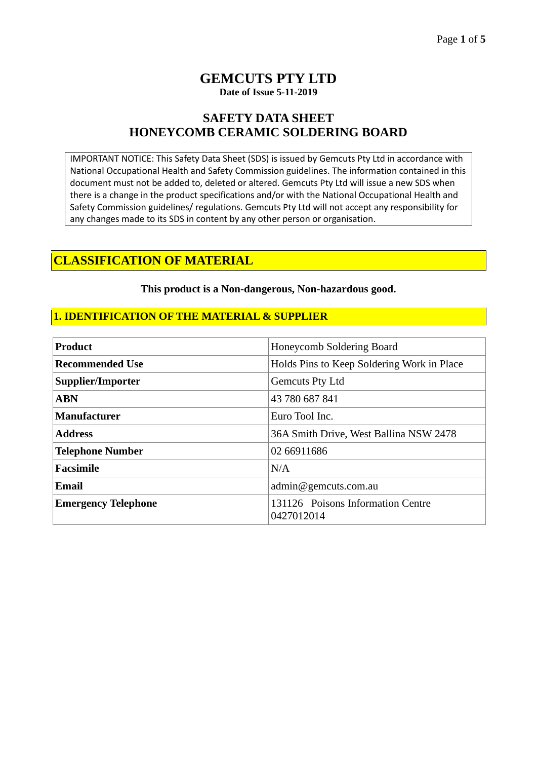### **GEMCUTS PTY LTD Date of Issue 5-11-2019**

## **SAFETY DATA SHEET HONEYCOMB CERAMIC SOLDERING BOARD**

IMPORTANT NOTICE: This Safety Data Sheet (SDS) is issued by Gemcuts Pty Ltd in accordance with National Occupational Health and Safety Commission guidelines. The information contained in this document must not be added to, deleted or altered. Gemcuts Pty Ltd will issue a new SDS when there is a change in the product specifications and/or with the National Occupational Health and Safety Commission guidelines/ regulations. Gemcuts Pty Ltd will not accept any responsibility for any changes made to its SDS in content by any other person or organisation.

## **CLASSIFICATION OF MATERIAL**

#### **This product is a Non-dangerous, Non-hazardous good.**

### **1. IDENTIFICATION OF THE MATERIAL & SUPPLIER**

| <b>Product</b>             | Honeycomb Soldering Board                       |  |
|----------------------------|-------------------------------------------------|--|
| <b>Recommended Use</b>     | Holds Pins to Keep Soldering Work in Place      |  |
| Supplier/Importer          | Gemcuts Pty Ltd                                 |  |
| <b>ABN</b>                 | 43 780 687 841                                  |  |
| <b>Manufacturer</b>        | Euro Tool Inc.                                  |  |
| <b>Address</b>             | 36A Smith Drive, West Ballina NSW 2478          |  |
| <b>Telephone Number</b>    | 02 66911686                                     |  |
| <b>Facsimile</b>           | N/A                                             |  |
| <b>Email</b>               | admin@gemcuts.com.au                            |  |
| <b>Emergency Telephone</b> | 131126 Poisons Information Centre<br>0427012014 |  |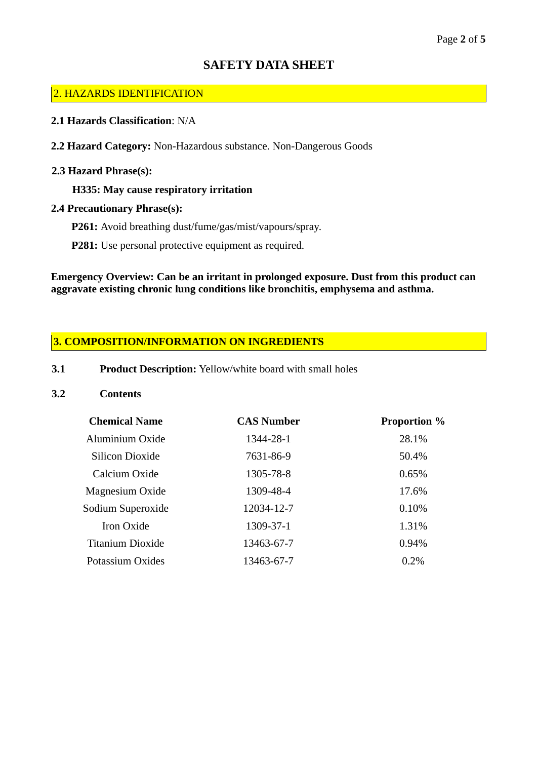### 2. HAZARDS IDENTIFICATION

- **2.1 Hazards Classification**: N/A
- **2.2 Hazard Category:** Non-Hazardous substance. Non-Dangerous Goods

### **2.3 Hazard Phrase(s):**

**H335: May cause respiratory irritation**

### **2.4 Precautionary Phrase(s):**

- **P261:** Avoid breathing dust/fume/gas/mist/vapours/spray.
- **P281:** Use personal protective equipment as required.

**Emergency Overview: Can be an irritant in prolonged exposure. Dust from this product can aggravate existing chronic lung conditions like bronchitis, emphysema and asthma.**

### **3. COMPOSITION/INFORMATION ON INGREDIENTS**

**3.1 Product Description:** Yellow/white board with small holes

#### **3.2 Contents**

| <b>Chemical Name</b>    | <b>CAS Number</b> | <b>Proportion</b> % |
|-------------------------|-------------------|---------------------|
| Aluminium Oxide         | 1344-28-1         | 28.1%               |
| Silicon Dioxide         | 7631-86-9         | 50.4%               |
| Calcium Oxide           | 1305-78-8         | 0.65%               |
| Magnesium Oxide         | 1309-48-4         | 17.6%               |
| Sodium Superoxide       | 12034-12-7        | 0.10%               |
| Iron Oxide              | 1309-37-1         | 1.31%               |
| <b>Titanium Dioxide</b> | 13463-67-7        | 0.94%               |
| Potassium Oxides        | 13463-67-7        | 0.2%                |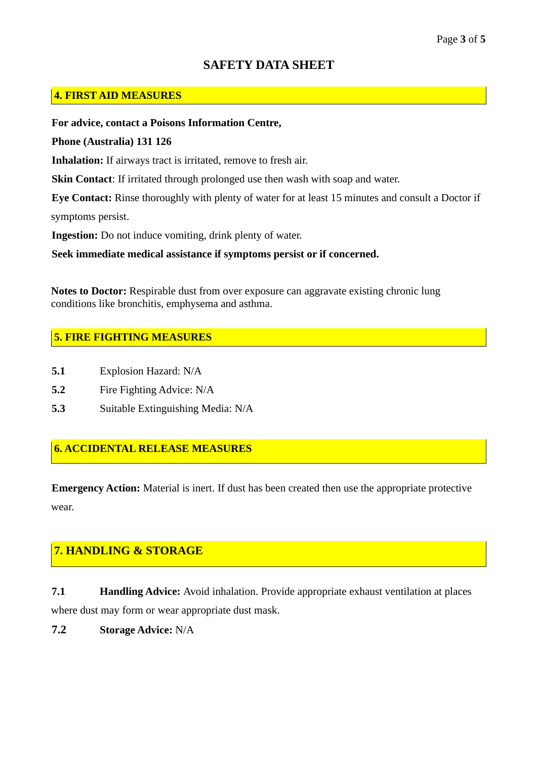### **4. FIRST AID MEASURES**

**For advice, contact a Poisons Information Centre,**

**Phone (Australia) 131 126**

**Inhalation:** If airways tract is irritated, remove to fresh air.

**Skin Contact:** If irritated through prolonged use then wash with soap and water.

**Eye Contact:** Rinse thoroughly with plenty of water for at least 15 minutes and consult a Doctor if symptoms persist.

**Ingestion:** Do not induce vomiting, drink plenty of water.

**Seek immediate medical assistance if symptoms persist or if concerned.**

**Notes to Doctor:** Respirable dust from over exposure can aggravate existing chronic lung conditions like bronchitis, emphysema and asthma.

### **5. FIRE FIGHTING MEASURES**

- **5.1** Explosion Hazard: N/A
- **5.2** Fire Fighting Advice: N/A
- **5.3** Suitable Extinguishing Media: N/A

### **6. ACCIDENTAL RELEASE MEASURES**

**Emergency Action:** Material is inert. If dust has been created then use the appropriate protective wear.

# **7. HANDLING & STORAGE**

**7.1 Handling Advice:** Avoid inhalation. Provide appropriate exhaust ventilation at places where dust may form or wear appropriate dust mask.

**7.2 Storage Advice:** N/A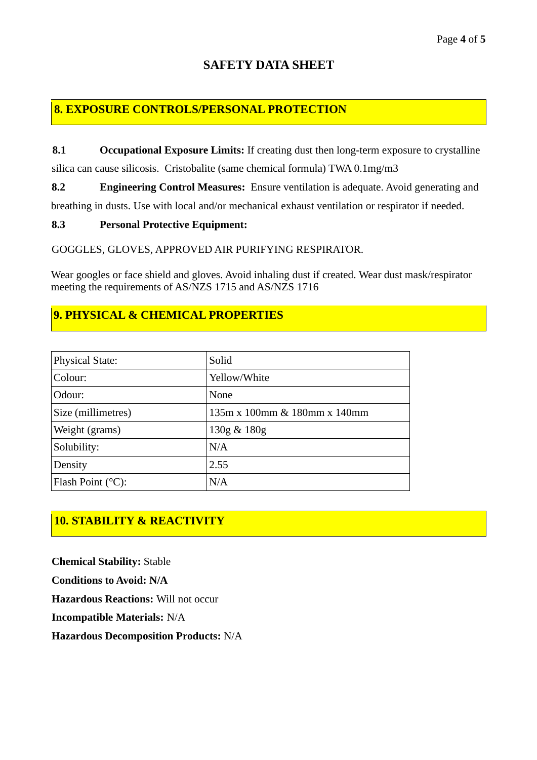## **8. EXPOSURE CONTROLS/PERSONAL PROTECTION**

**8.1 Occupational Exposure Limits:** If creating dust then long-term exposure to crystalline

silica can cause silicosis. Cristobalite (same chemical formula) TWA 0.1mg/m3

**8.2 Engineering Control Measures:** Ensure ventilation is adequate. Avoid generating and

breathing in dusts. Use with local and/or mechanical exhaust ventilation or respirator if needed.

### **8.3 Personal Protective Equipment:**

GOGGLES, GLOVES, APPROVED AIR PURIFYING RESPIRATOR.

Wear googles or face shield and gloves. Avoid inhaling dust if created. Wear dust mask/respirator meeting the requirements of AS/NZS 1715 and AS/NZS 1716

# **9. PHYSICAL & CHEMICAL PROPERTIES**

| <b>Physical State:</b>      | Solid                        |
|-----------------------------|------------------------------|
| Colour:                     | Yellow/White                 |
| Odour:                      | None                         |
| Size (millimetres)          | 135m x 100mm & 180mm x 140mm |
| Weight (grams)              | 130g & 180g                  |
| Solubility:                 | N/A                          |
| Density                     | 2.55                         |
| Flash Point $(^{\circ}C)$ : | N/A                          |

# **10. STABILITY & REACTIVITY**

**Chemical Stability:** Stable **Conditions to Avoid: N/A Hazardous Reactions:** Will not occur **Incompatible Materials:** N/A **Hazardous Decomposition Products:** N/A